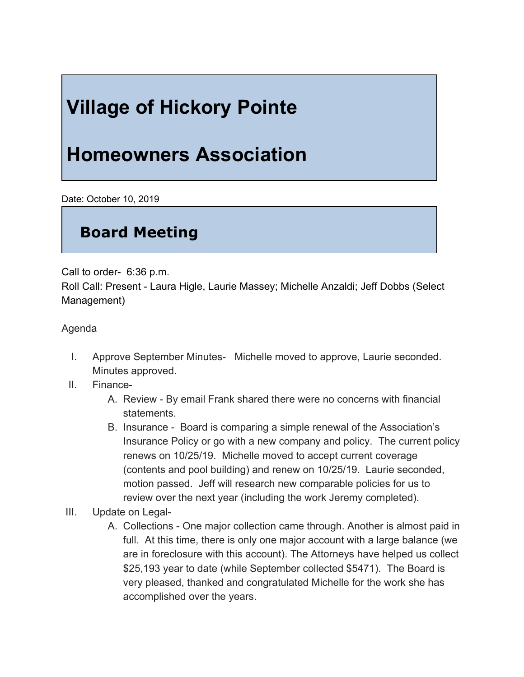## **Village of Hickory Pointe**

## **Homeowners Association**

Date: October 10, 2019

## **Board Meeting**

Call to order- 6:36 p.m.

Roll Call: Present - Laura Higle, Laurie Massey; Michelle Anzaldi; Jeff Dobbs (Select Management)

Agenda

- I. Approve September Minutes- Michelle moved to approve, Laurie seconded. Minutes approved.
- II. Finance-
	- A. Review By email Frank shared there were no concerns with financial statements.
	- B. Insurance Board is comparing a simple renewal of the Association's Insurance Policy or go with a new company and policy. The current policy renews on 10/25/19. Michelle moved to accept current coverage (contents and pool building) and renew on 10/25/19. Laurie seconded, motion passed. Jeff will research new comparable policies for us to review over the next year (including the work Jeremy completed).
- III. Update on Legal-
	- A. Collections One major collection came through. Another is almost paid in full. At this time, there is only one major account with a large balance (we are in foreclosure with this account). The Attorneys have helped us collect \$25,193 year to date (while September collected \$5471). The Board is very pleased, thanked and congratulated Michelle for the work she has accomplished over the years.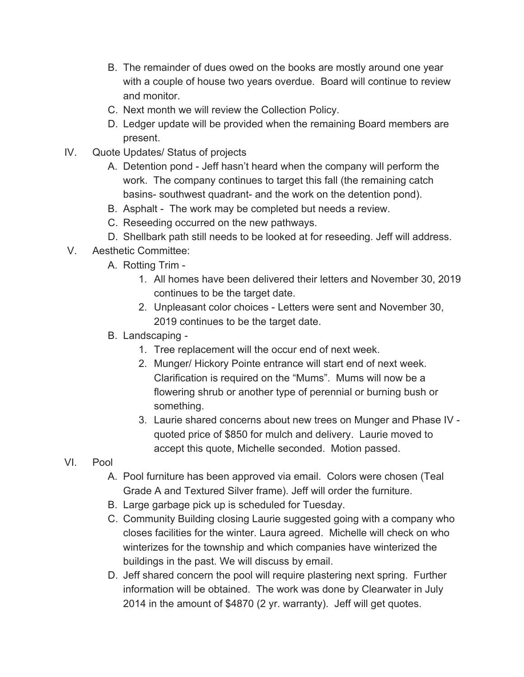- B. The remainder of dues owed on the books are mostly around one year with a couple of house two years overdue. Board will continue to review and monitor.
- C. Next month we will review the Collection Policy.
- D. Ledger update will be provided when the remaining Board members are present.
- IV. Quote Updates/ Status of projects
	- A. Detention pond Jeff hasn't heard when the company will perform the work. The company continues to target this fall (the remaining catch basins- southwest quadrant- and the work on the detention pond).
	- B. Asphalt The work may be completed but needs a review.
	- C. Reseeding occurred on the new pathways.
	- D. Shellbark path still needs to be looked at for reseeding. Jeff will address.
- V. Aesthetic Committee:
	- A. Rotting Trim
		- 1. All homes have been delivered their letters and November 30, 2019 continues to be the target date.
		- 2. Unpleasant color choices Letters were sent and November 30, 2019 continues to be the target date.
	- B. Landscaping *-*
		- 1. Tree replacement will the occur end of next week.
		- 2. Munger/ Hickory Pointe entrance will start end of next week. Clarification is required on the "Mums". Mums will now be a flowering shrub or another type of perennial or burning bush or something.
		- 3. Laurie shared concerns about new trees on Munger and Phase IV quoted price of \$850 for mulch and delivery. Laurie moved to accept this quote, Michelle seconded. Motion passed.
- VI. Pool
	- A. Pool furniture has been approved via email. Colors were chosen (Teal Grade A and Textured Silver frame). Jeff will order the furniture.
	- B. Large garbage pick up is scheduled for Tuesday.
	- C. Community Building closing Laurie suggested going with a company who closes facilities for the winter. Laura agreed. Michelle will check on who winterizes for the township and which companies have winterized the buildings in the past. We will discuss by email.
	- D. Jeff shared concern the pool will require plastering next spring. Further information will be obtained. The work was done by Clearwater in July 2014 in the amount of \$4870 (2 yr. warranty). Jeff will get quotes.